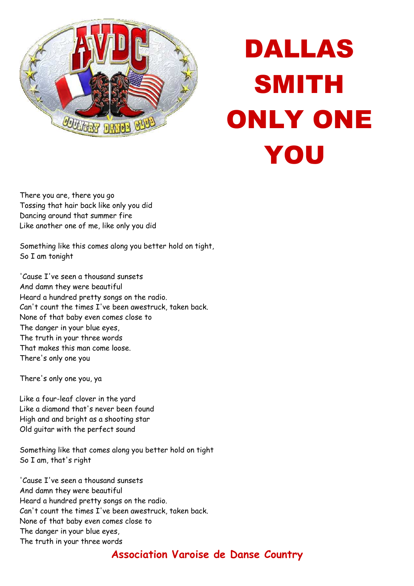

## DALLAS SMITH ONLY ONE YOU

There you are, there you go Tossing that hair back like only you did Dancing around that summer fire Like another one of me, like only you did

Something like this comes along you better hold on tight, So I am tonight

'Cause I've seen a thousand sunsets And damn they were beautiful Heard a hundred pretty songs on the radio. Can't count the times I've been awestruck, taken back. None of that baby even comes close to The danger in your blue eyes, The truth in your three words That makes this man come loose. There's only one you

There's only one you, ya

Like a four-leaf clover in the yard Like a diamond that's never been found High and and bright as a shooting star Old guitar with the perfect sound

Something like that comes along you better hold on tight So I am, that's right

'Cause I've seen a thousand sunsets And damn they were beautiful Heard a hundred pretty songs on the radio. Can't count the times I've been awestruck, taken back. None of that baby even comes close to The danger in your blue eyes, The truth in your three words

## **Association Varoise de Danse Country**